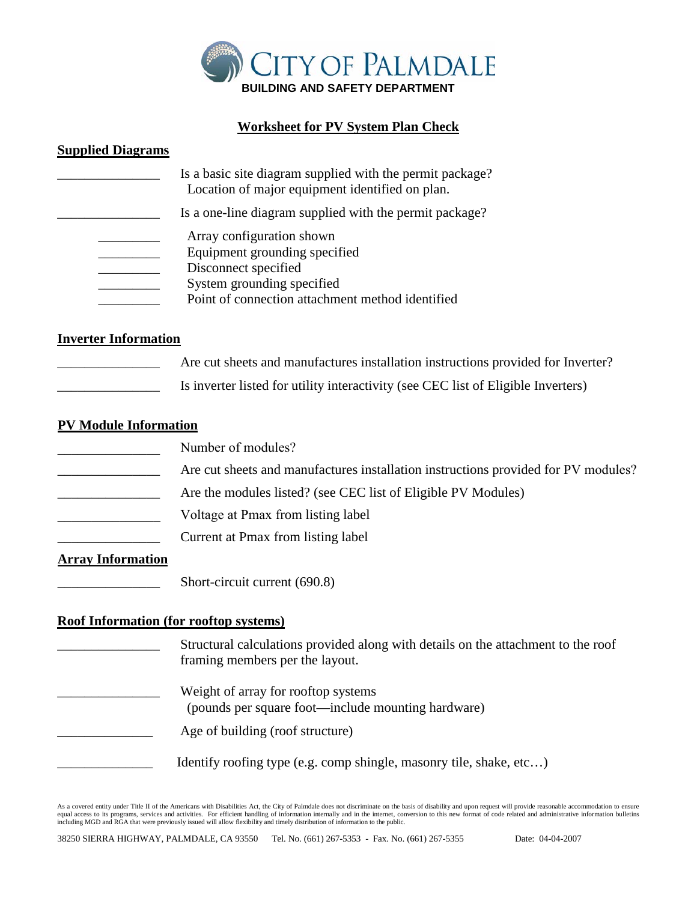

## **Worksheet for PV System Plan Check**

#### **Supplied Diagrams**

|                      | Is a basic site diagram supplied with the permit package?<br>Location of major equipment identified on plan.                                                         |
|----------------------|----------------------------------------------------------------------------------------------------------------------------------------------------------------------|
|                      | Is a one-line diagram supplied with the permit package?                                                                                                              |
|                      | Array configuration shown<br>Equipment grounding specified<br>Disconnect specified<br>System grounding specified<br>Point of connection attachment method identified |
| Inverter Information |                                                                                                                                                                      |

#### **Inverter Information**

- Are cut sheets and manufactures installation instructions provided for Inverter?
	- Is inverter listed for utility interactivity (see CEC list of Eligible Inverters)

#### **PV Module Information**

- Number of modules?
- Are cut sheets and manufactures installation instructions provided for PV modules?
	- Are the modules listed? (see CEC list of Eligible PV Modules)
- Voltage at Pmax from listing label
	- Current at Pmax from listing label

### **Array Information**

Short-circuit current (690.8)

## **Roof Information (for rooftop systems)**

\_\_\_\_\_\_\_\_\_\_\_\_\_\_\_ Structural calculations provided along with details on the attachment to the roof framing members per the layout. Weight of array for rooftop systems (pounds per square foot—include mounting hardware) Age of building (roof structure) Identify roofing type (e.g. comp shingle, masonry tile, shake, etc...)

As a covered entity under Title II of the Americans with Disabilities Act, the City of Palmdale does not discriminate on the basis of disability and upon request will provide reasonable accommodation to ensure<br>equal access including MGD and RGA that were previously issued will allow flexibility and timely distribution of information to the public.